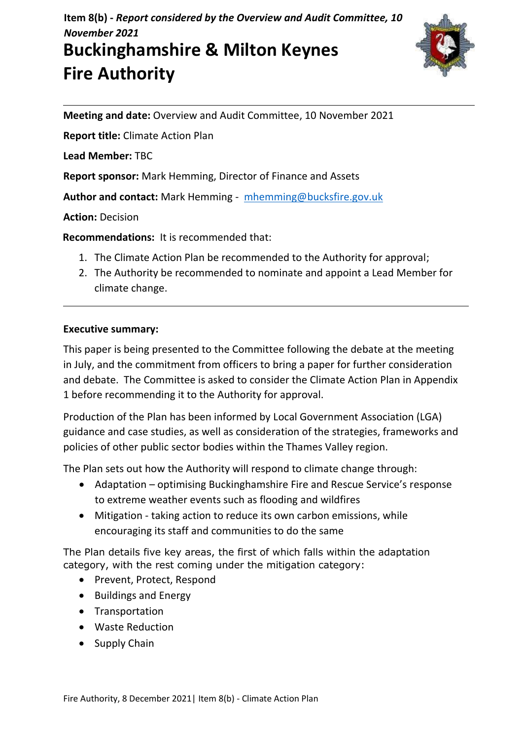**Item 8(b) -** *Report considered by the Overview and Audit Committee, 10 November 2021*

# **Buckinghamshire & Milton Keynes Fire Authority**



**Meeting and date:** Overview and Audit Committee, 10 November 2021

**Report title:** Climate Action Plan

**Lead Member:** TBC

**Report sponsor:** Mark Hemming, Director of Finance and Assets

**Author and contact:** Mark Hemming - [mhemming@bucksfire.gov.uk](mailto:mhemming@bucksfire.gov.uk)

**Action:** Decision

**Recommendations:** It is recommended that:

- 1. The Climate Action Plan be recommended to the Authority for approval;
- 2. The Authority be recommended to nominate and appoint a Lead Member for climate change.

## **Executive summary:**

This paper is being presented to the Committee following the debate at the meeting in July, and the commitment from officers to bring a paper for further consideration and debate. The Committee is asked to consider the Climate Action Plan in Appendix 1 before recommending it to the Authority for approval.

Production of the Plan has been informed by Local Government Association (LGA) guidance and case studies, as well as consideration of the strategies, frameworks and policies of other public sector bodies within the Thames Valley region.

The Plan sets out how the Authority will respond to climate change through:

- Adaptation optimising Buckinghamshire Fire and Rescue Service's response to extreme weather events such as flooding and wildfires
- Mitigation taking action to reduce its own carbon emissions, while encouraging its staff and communities to do the same

The Plan details five key areas, the first of which falls within the adaptation category, with the rest coming under the mitigation category:

- Prevent, Protect, Respond
- Buildings and Energy
- Transportation
- Waste Reduction
- Supply Chain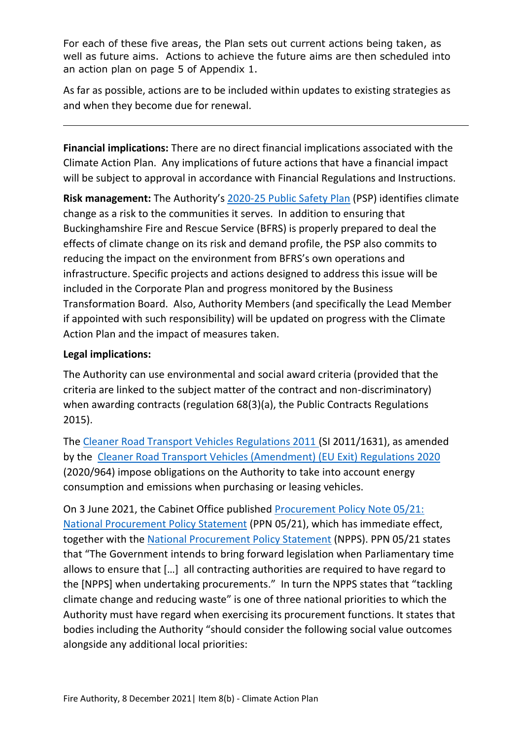For each of these five areas, the Plan sets out current actions being taken, as well as future aims. Actions to achieve the future aims are then scheduled into an action plan on page 5 of Appendix 1.

As far as possible, actions are to be included within updates to existing strategies as and when they become due for renewal.

**Financial implications:** There are no direct financial implications associated with the Climate Action Plan. Any implications of future actions that have a financial impact will be subject to approval in accordance with Financial Regulations and Instructions.

**Risk management:** The Authority's [2020-25 Public Safety Plan](https://bucksfire.gov.uk/documents/2020/03/public_safety_plan_2020_to_2025.pdf/) (PSP) identifies climate change as a risk to the communities it serves. In addition to ensuring that Buckinghamshire Fire and Rescue Service (BFRS) is properly prepared to deal the effects of climate change on its risk and demand profile, the PSP also commits to reducing the impact on the environment from BFRS's own operations and infrastructure. Specific projects and actions designed to address this issue will be included in the Corporate Plan and progress monitored by the Business Transformation Board. Also, Authority Members (and specifically the Lead Member if appointed with such responsibility) will be updated on progress with the Climate Action Plan and the impact of measures taken.

## **Legal implications:**

The Authority can use environmental and social award criteria (provided that the criteria are linked to the subject matter of the contract and non-discriminatory) when awarding contracts (regulation 68(3)(a), the Public Contracts Regulations 2015).

The [Cleaner Road Transport Vehicles Regulations 2011 \(](https://www.legislation.gov.uk/uksi/2011/1631/contents)SI 2011/1631), as amended by the [Cleaner Road Transport Vehicles \(Amendment\) \(EU Exit\) Regulations 2020](https://www.legislation.gov.uk/uksi/2020/964/made?view=plain)  (2020/964) impose obligations on the Authority to take into account energy consumption and emissions when purchasing or leasing vehicles.

On 3 June 2021, the Cabinet Office published [Procurement Policy Note 05/21:](https://www.gov.uk/government/publications/procurement-policy-note-0521-national-procurement-policy-statement)  [National Procurement Policy Statement](https://www.gov.uk/government/publications/procurement-policy-note-0521-national-procurement-policy-statement) (PPN 05/21), which has immediate effect, together with the [National Procurement Policy Statement](https://assets.publishing.service.gov.uk/government/uploads/system/uploads/attachment_data/file/990289/National_Procurement_Policy_Statement.pdf) (NPPS). PPN 05/21 states that "The Government intends to bring forward legislation when Parliamentary time allows to ensure that […] all contracting authorities are required to have regard to the [NPPS] when undertaking procurements." In turn the NPPS states that "tackling climate change and reducing waste" is one of three national priorities to which the Authority must have regard when exercising its procurement functions. It states that bodies including the Authority "should consider the following social value outcomes alongside any additional local priorities: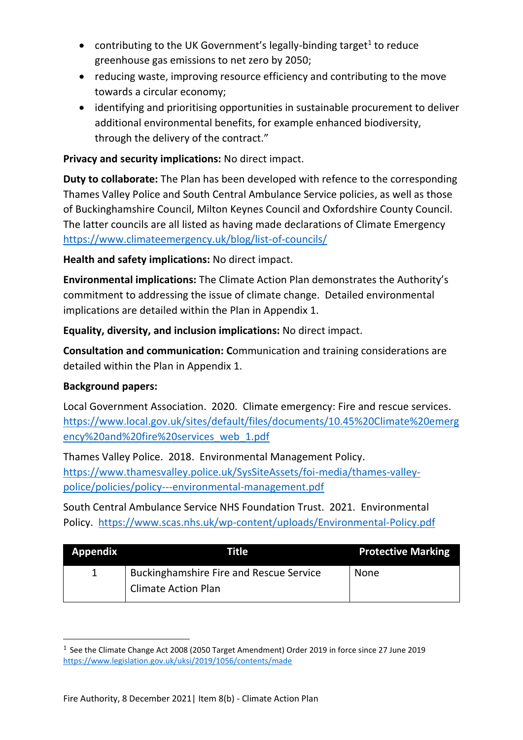- contributing to the UK Government's legally-binding target<sup>1</sup> to reduce greenhouse gas emissions to net zero by 2050;
- reducing waste, improving resource efficiency and contributing to the move towards a circular economy;
- identifying and prioritising opportunities in sustainable procurement to deliver additional environmental benefits, for example enhanced biodiversity, through the delivery of the contract."

## **Privacy and security implications:** No direct impact.

**Duty to collaborate:** The Plan has been developed with refence to the corresponding Thames Valley Police and South Central Ambulance Service policies, as well as those of Buckinghamshire Council, Milton Keynes Council and Oxfordshire County Council. The latter councils are all listed as having made declarations of Climate Emergency <https://www.climateemergency.uk/blog/list-of-councils/>

**Health and safety implications:** No direct impact.

**Environmental implications:** The Climate Action Plan demonstrates the Authority's commitment to addressing the issue of climate change. Detailed environmental implications are detailed within the Plan in Appendix 1.

**Equality, diversity, and inclusion implications:** No direct impact.

**Consultation and communication: C**ommunication and training considerations are detailed within the Plan in Appendix 1.

## **Background papers:**

Local Government Association. 2020. Climate emergency: Fire and rescue services. [https://www.local.gov.uk/sites/default/files/documents/10.45%20Climate%20emerg](https://www.local.gov.uk/sites/default/files/documents/10.45%20Climate%20emergency%20and%20fire%20services_web_1.pdf) [ency%20and%20fire%20services\\_web\\_1.pdf](https://www.local.gov.uk/sites/default/files/documents/10.45%20Climate%20emergency%20and%20fire%20services_web_1.pdf)

Thames Valley Police. 2018. Environmental Management Policy. [https://www.thamesvalley.police.uk/SysSiteAssets/foi-media/thames-valley](https://www.thamesvalley.police.uk/SysSiteAssets/foi-media/thames-valley-police/policies/policy---environmental-management.pdf)[police/policies/policy---environmental-management.pdf](https://www.thamesvalley.police.uk/SysSiteAssets/foi-media/thames-valley-police/policies/policy---environmental-management.pdf)

South Central Ambulance Service NHS Foundation Trust. 2021. Environmental Policy. <https://www.scas.nhs.uk/wp-content/uploads/Environmental-Policy.pdf>

| <b>Appendix</b> | Title'                                         | <b>Protective Marking</b> |
|-----------------|------------------------------------------------|---------------------------|
|                 | <b>Buckinghamshire Fire and Rescue Service</b> | <b>None</b>               |
|                 | <b>Climate Action Plan</b>                     |                           |

<sup>&</sup>lt;sup>1</sup> See the Climate Change Act 2008 (2050 Target Amendment) Order 2019 in force since 27 June 2019 <https://www.legislation.gov.uk/uksi/2019/1056/contents/made>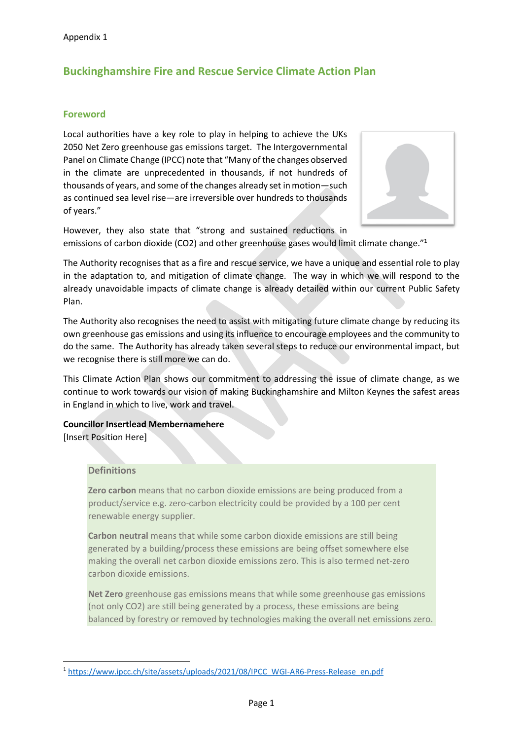## **Buckinghamshire Fire and Rescue Service Climate Action Plan**

#### **Foreword**

Local authorities have a key role to play in helping to achieve the UKs 2050 Net Zero greenhouse gas emissions target. The Intergovernmental Panel on Climate Change (IPCC) note that "Many of the changes observed in the climate are unprecedented in thousands, if not hundreds of thousands of years, and some of the changes already set in motion—such as continued sea level rise—are irreversible over hundreds to thousands of years."



However, they also state that "strong and sustained reductions in emissions of carbon dioxide (CO2) and other greenhouse gases would limit climate change."<sup>1</sup>

The Authority recognises that as a fire and rescue service, we have a unique and essential role to play in the adaptation to, and mitigation of climate change. The way in which we will respond to the already unavoidable impacts of climate change is already detailed within our current Public Safety Plan.

The Authority also recognises the need to assist with mitigating future climate change by reducing its own greenhouse gas emissions and using its influence to encourage employees and the community to do the same. The Authority has already taken several steps to reduce our environmental impact, but we recognise there is still more we can do.

This Climate Action Plan shows our commitment to addressing the issue of climate change, as we continue to work towards our vision of making Buckinghamshire and Milton Keynes the safest areas in England in which to live, work and travel.

**Councillor Insertlead Membernamehere** [Insert Position Here]

#### **Definitions**

**Zero carbon** means that no carbon dioxide emissions are being produced from a product/service e.g. zero-carbon electricity could be provided by a 100 per cent renewable energy supplier.

**Carbon neutral** means that while some carbon dioxide emissions are still being generated by a building/process these emissions are being offset somewhere else making the overall net carbon dioxide emissions zero. This is also termed net-zero carbon dioxide emissions.

**Net Zero** greenhouse gas emissions means that while some greenhouse gas emissions (not only CO2) are still being generated by a process, these emissions are being balanced by forestry or removed by technologies making the overall net emissions zero.

<sup>&</sup>lt;sup>1</sup> [https://www.ipcc.ch/site/assets/uploads/2021/08/IPCC\\_WGI-AR6-Press-Release\\_en.pdf](https://www.ipcc.ch/site/assets/uploads/2021/08/IPCC_WGI-AR6-Press-Release_en.pdf)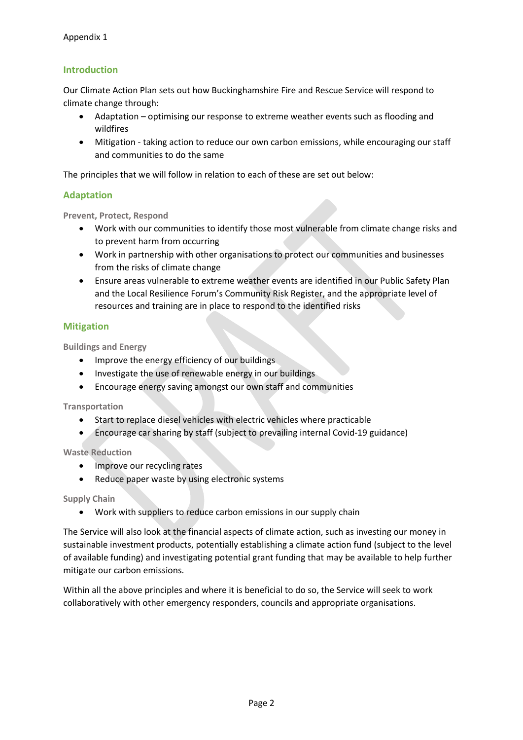#### **Introduction**

Our Climate Action Plan sets out how Buckinghamshire Fire and Rescue Service will respond to climate change through:

- Adaptation optimising our response to extreme weather events such as flooding and wildfires
- Mitigation taking action to reduce our own carbon emissions, while encouraging our staff and communities to do the same

The principles that we will follow in relation to each of these are set out below:

#### **Adaptation**

**Prevent, Protect, Respond**

- Work with our communities to identify those most vulnerable from climate change risks and to prevent harm from occurring
- Work in partnership with other organisations to protect our communities and businesses from the risks of climate change
- Ensure areas vulnerable to extreme weather events are identified in our Public Safety Plan and the Local Resilience Forum's Community Risk Register, and the appropriate level of resources and training are in place to respond to the identified risks

#### **Mitigation**

**Buildings and Energy**

- Improve the energy efficiency of our buildings
- Investigate the use of renewable energy in our buildings
- Encourage energy saving amongst our own staff and communities

**Transportation**

- Start to replace diesel vehicles with electric vehicles where practicable
- Encourage car sharing by staff (subject to prevailing internal Covid-19 guidance)

**Waste Reduction**

- Improve our recycling rates
- Reduce paper waste by using electronic systems

#### **Supply Chain**

• Work with suppliers to reduce carbon emissions in our supply chain

The Service will also look at the financial aspects of climate action, such as investing our money in sustainable investment products, potentially establishing a climate action fund (subject to the level of available funding) and investigating potential grant funding that may be available to help further mitigate our carbon emissions.

Within all the above principles and where it is beneficial to do so, the Service will seek to work collaboratively with other emergency responders, councils and appropriate organisations.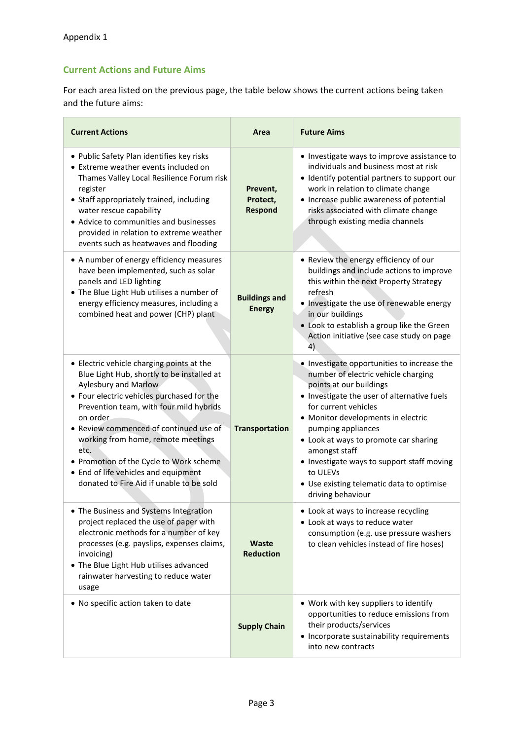### **Current Actions and Future Aims**

For each area listed on the previous page, the table below shows the current actions being taken and the future aims:

| <b>Current Actions</b>                                                                                                                                                                                                                                                                                                                                                                                                                       | Area                                   | <b>Future Aims</b>                                                                                                                                                                                                                                                                                                                                                                                                                     |
|----------------------------------------------------------------------------------------------------------------------------------------------------------------------------------------------------------------------------------------------------------------------------------------------------------------------------------------------------------------------------------------------------------------------------------------------|----------------------------------------|----------------------------------------------------------------------------------------------------------------------------------------------------------------------------------------------------------------------------------------------------------------------------------------------------------------------------------------------------------------------------------------------------------------------------------------|
| • Public Safety Plan identifies key risks<br>• Extreme weather events included on<br>Thames Valley Local Resilience Forum risk<br>register<br>• Staff appropriately trained, including<br>water rescue capability<br>• Advice to communities and businesses<br>provided in relation to extreme weather<br>events such as heatwaves and flooding                                                                                              | Prevent,<br>Protect,<br><b>Respond</b> | • Investigate ways to improve assistance to<br>individuals and business most at risk<br>· Identify potential partners to support our<br>work in relation to climate change<br>• Increase public awareness of potential<br>risks associated with climate change<br>through existing media channels                                                                                                                                      |
| • A number of energy efficiency measures<br>have been implemented, such as solar<br>panels and LED lighting<br>• The Blue Light Hub utilises a number of<br>energy efficiency measures, including a<br>combined heat and power (CHP) plant                                                                                                                                                                                                   | <b>Buildings and</b><br><b>Energy</b>  | • Review the energy efficiency of our<br>buildings and include actions to improve<br>this within the next Property Strategy<br>refresh<br>• Investigate the use of renewable energy<br>in our buildings<br>• Look to establish a group like the Green<br>Action initiative (see case study on page<br>4)                                                                                                                               |
| • Electric vehicle charging points at the<br>Blue Light Hub, shortly to be installed at<br>Aylesbury and Marlow<br>• Four electric vehicles purchased for the<br>Prevention team, with four mild hybrids<br>on order.<br>• Review commenced of continued use of<br>working from home, remote meetings<br>etc.<br>• Promotion of the Cycle to Work scheme<br>• End of life vehicles and equipment<br>donated to Fire Aid if unable to be sold | <b>Transportation</b>                  | . Investigate opportunities to increase the<br>number of electric vehicle charging<br>points at our buildings<br>. Investigate the user of alternative fuels<br>for current vehicles<br>• Monitor developments in electric<br>pumping appliances<br>• Look at ways to promote car sharing<br>amongst staff<br>• Investigate ways to support staff moving<br>to ULEVs<br>• Use existing telematic data to optimise<br>driving behaviour |
| • The Business and Systems Integration<br>project replaced the use of paper with<br>electronic methods for a number of key<br>processes (e.g. payslips, expenses claims,<br>invoicing)<br>• The Blue Light Hub utilises advanced<br>rainwater harvesting to reduce water<br>usage                                                                                                                                                            | <b>Waste</b><br><b>Reduction</b>       | • Look at ways to increase recycling<br>• Look at ways to reduce water<br>consumption (e.g. use pressure washers<br>to clean vehicles instead of fire hoses)                                                                                                                                                                                                                                                                           |
| • No specific action taken to date                                                                                                                                                                                                                                                                                                                                                                                                           | <b>Supply Chain</b>                    | • Work with key suppliers to identify<br>opportunities to reduce emissions from<br>their products/services<br>• Incorporate sustainability requirements<br>into new contracts                                                                                                                                                                                                                                                          |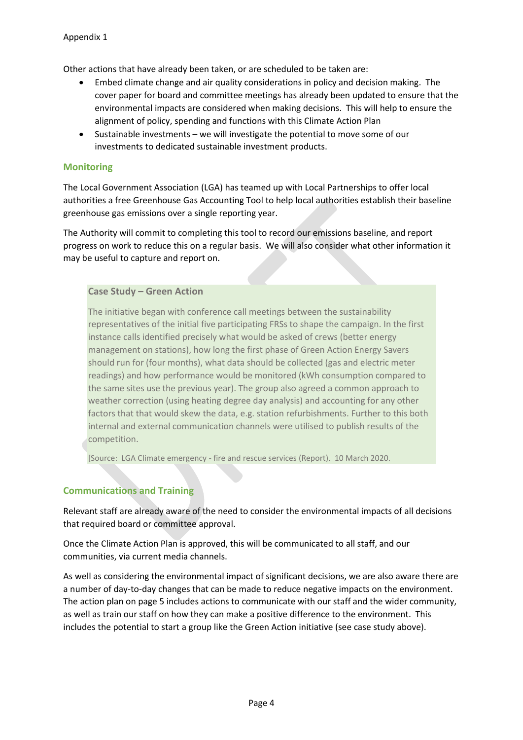Other actions that have already been taken, or are scheduled to be taken are:

- Embed climate change and air quality considerations in policy and decision making. The cover paper for board and committee meetings has already been updated to ensure that the environmental impacts are considered when making decisions. This will help to ensure the alignment of policy, spending and functions with this Climate Action Plan
- Sustainable investments we will investigate the potential to move some of our investments to dedicated sustainable investment products.

#### **Monitoring**

The Local Government Association (LGA) has teamed up with Local Partnerships to offer local authorities a free Greenhouse Gas Accounting Tool to help local authorities establish their baseline greenhouse gas emissions over a single reporting year.

The Authority will commit to completing this tool to record our emissions baseline, and report progress on work to reduce this on a regular basis. We will also consider what other information it may be useful to capture and report on.

#### **Case Study – Green Action**

The initiative began with conference call meetings between the sustainability representatives of the initial five participating FRSs to shape the campaign. In the first instance calls identified precisely what would be asked of crews (better energy management on stations), how long the first phase of Green Action Energy Savers should run for (four months), what data should be collected (gas and electric meter readings) and how performance would be monitored (kWh consumption compared to the same sites use the previous year). The group also agreed a common approach to weather correction (using heating degree day analysis) and accounting for any other factors that that would skew the data, e.g. station refurbishments. Further to this both internal and external communication channels were utilised to publish results of the competition.

[Source: LGA Climate emergency - fire and rescue services (Report). 10 March 2020.

#### **Communications and Training**

Relevant staff are already aware of the need to consider the environmental impacts of all decisions that required board or committee approval.

Once the Climate Action Plan is approved, this will be communicated to all staff, and our communities, via current media channels.

As well as considering the environmental impact of significant decisions, we are also aware there are a number of day-to-day changes that can be made to reduce negative impacts on the environment. The action plan on page 5 includes actions to communicate with our staff and the wider community, as well as train our staff on how they can make a positive difference to the environment. This includes the potential to start a group like the Green Action initiative (see case study above).